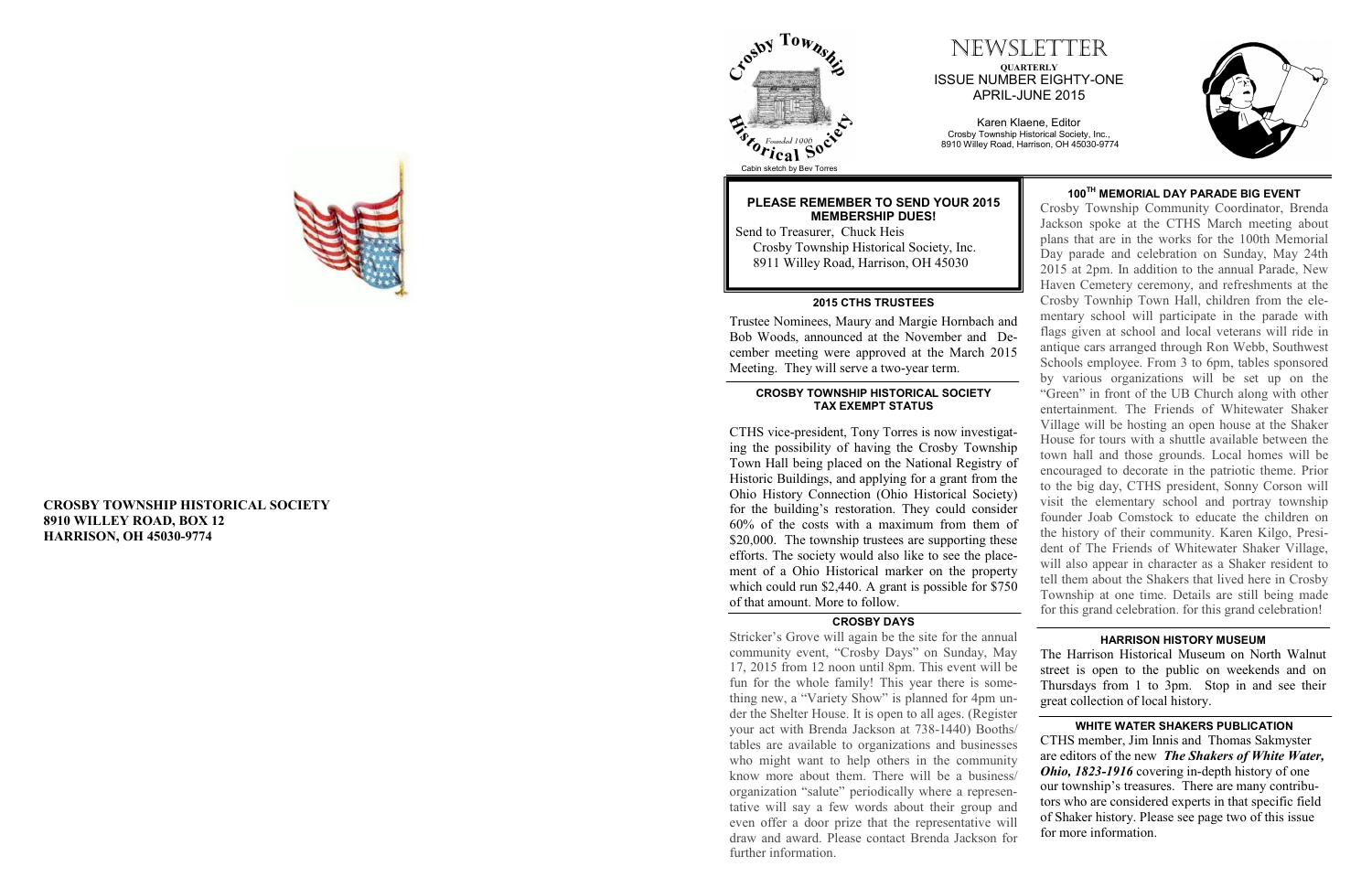### **CROSBY TOWNSHIP HISTORICAL SOCIETY 8910 WILLEY ROAD, BOX 12 HARRISON, OH 45030 -9774**

## NEWSLETTER **QUARTERLY** ISSUE NUMBER EIGHTY -ONE APRIL -JUNE 2015

Karen Klaene, Editor Crosby Township Historical Society, Inc., 8910 Willey Road, Harrison, OH 45030 -9774







Cabin sketch by Bev Torres

### **PLEASE REMEMBER TO SEND YOUR 2015 MEMBERSHIP DUES!**

8911 Willey Road, Harrison, OH 45030

Trustee Nominees, Maury and Margie Hornbach and Bob Woods, announced at the November and December meeting were approved at the March 2015 Meeting. They will serve a two-year term. **2015 CTHS TRUSTEES** CTHS vice -president, Tony Torres is now investigating the possibility of having the Crosby Township Town Hall being placed on the National Registry of Historic Buildings, and applying for a grant from the Ohio History Connection (Ohio Historical Society) for the building's restoration. They could consider 60% of the costs with a maximum from them of \$20,000. The township trustees are supporting these efforts. The society would also like to see the placement of a Ohio Historical marker on the property which could run \$2,440. A grant is possible for \$750 of that amount. More to follow. **CROSBY TOWNSHIP HISTORICAL SOCIETY TAX EXEMPT STATUS** Send to Treasurer, Chuck Heis Crosby Township Historical Society, Inc. Crosby Township Community Coordinator, Brenda Jackson spoke at the CTHS March meeting about plans that are in the works for the 100th Memorial Day parade and celebration on Sunday, May 24th 2015 at 2pm. In addition to the annual Parade, New Haven Cemetery ceremony, and refreshments at the Crosby Townhip Town Hall, children from the elementary school will participate in the parade with flags given at school and local veterans will ride in antique cars arranged through Ron Webb, Southwest Schools employee. From 3 to 6pm, tables sponsored by various organizations will be set up on the "Green" in front of the UB Church along with other entertainment. The Friends of Whitewater Shaker Village will be hosting an open house at the Shaker House for tours with a shuttle available between the town hall and those grounds. Local homes will be encouraged to decorate in the patriotic theme. Prior to the big day, CTHS president, Sonny Corson will visit the elementary school and portray township founder Joab Comstock to educate the children on the history of their community. Karen Kilgo, President of The Friends of Whitewater Shaker Village, will also appear in character as a Shaker resident to tell them about the Shakers that lived here in Crosby Township at one time. Details are still being made for this grand celebration. for this grand celebration!

**100TH MEMORIAL DAY PARADE BIG EVENT**

**WHITE WATER SHAKERS PUBLICATION** CTHS member, Jim Innis and Thomas Sakmyster are editors of the new *The Shakers of White Water, Ohio, 1823-1916* covering in-depth history of one our township's treasures. There are many contributors who are considered experts in that specific field of Shaker history. Please see page two of this issue for more information. **HARRISON HISTORY MUSEUM** The Harrison Historical Museum on North Walnut street is open to the public on weekends and on Thursdays from 1 to 3pm. Stop in and see their great collection of local history. Stricker's Grove will again be the site for the annual community event, "Crosby Days" on Sunday, May 17, 2015 from 12 noon until 8pm. This event will be fun for the whole family! This year there is something new, a "Variety Show" is planned for 4pm under the Shelter House. It is open to all ages. (Register your act with Brenda Jackson at 738 -1440) Booths/ tables are available to organizations and businesses who might want to help others in the community know more about them. There will be a business/ organization "salute" periodically where a representative will say a few words about their group and even offer a door prize that the representative will draw and award. Please contact Brenda Jackson for further information.



#### **CROSBY DAYS**